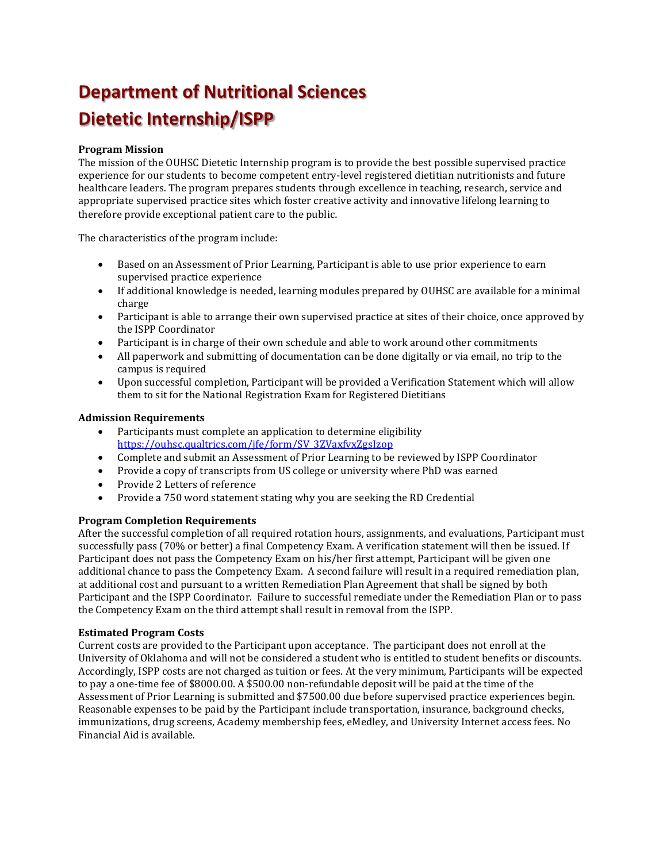# **Department of Nutritional Sciences Dietetic Internship/ISPP**

# **Program Mission**

The mission of the OUHSC Dietetic Internship program is to provide the best possible supervised practice experience for our students to become competent entry-level registered dietitian nutritionists and future healthcare leaders. The program prepares students through excellence in teaching, research, service and appropriate supervised practice sites which foster creative activity and innovative lifelong learning to therefore provide exceptional patient care to the public*.*

The characteristics of the program include:

- Based on an Assessment of Prior Learning, Participant is able to use prior experience to earn supervised practice experience
- If additional knowledge is needed, learning modules prepared by OUHSC are available for a minimal charge
- Participant is able to arrange their own supervised practice at sites of their choice, once approved by the ISPP Coordinator
- Participant is in charge of their own schedule and able to work around other commitments
- All paperwork and submitting of documentation can be done digitally or via email, no trip to the campus is required
- Upon successful completion, Participant will be provided a Verification Statement which will allow them to sit for the National Registration Exam for Registered Dietitians

### **Admission Requirements**

- Participants must complete an application to determine eligibility [https://ouhsc.qualtrics.com/jfe/form/SV\\_3ZVaxfvxZgsIzop](https://urldefense.proofpoint.com/v2/url?u=https-3A__ouhsc.qualtrics.com_jfe_form_SV-5F3ZVaxfvxZgsIzop&d=DwMFaQ&c=qRnFByZajCb3ogDwk-HidsbrxD-31vTsTBEIa6TCCEk&r=DjeJj1pO9RCG50z8AvKvEgTLpv47EIO32VllsuQksi0&m=tK4pcYm705WM68EcW2ybn2E5nMRjfFKxBbt1dkfSQ-I&s=EjSKJx84r_cRw1RKtXtoQejfPyycCKNpqECa8CqqIP4&e=)
- Complete and submit an Assessment of Prior Learning to be reviewed by ISPP Coordinator
- Provide a copy of transcripts from US college or university where PhD was earned<br>• Provide 2 Letters of reference
- Provide 2 Letters of reference<br>• Provide a 750 word statement
- Provide a 750 word statement stating why you are seeking the RD Credential

### **Program Completion Requirements**

After the successful completion of all required rotation hours, assignments, and evaluations, Participant must successfully pass (70% or better) a final Competency Exam. A verification statement will then be issued. If Participant does not pass the Competency Exam on his/her first attempt, Participant will be given one additional chance to pass the Competency Exam. A second failure will result in a required remediation plan, at additional cost and pursuant to a written Remediation Plan Agreement that shall be signed by both Participant and the ISPP Coordinator. Failure to successful remediate under the Remediation Plan or to pass the Competency Exam on the third attempt shall result in removal from the ISPP.

#### **Estimated Program Costs**

Current costs are provided to the Participant upon acceptance. The participant does not enroll at the University of Oklahoma and will not be considered a student who is entitled to student benefits or discounts. Accordingly, ISPP costs are not charged as tuition or fees. At the very minimum, Participants will be expected to pay a one-time fee of \$8000.00. A \$500.00 non-refundable deposit will be paid at the time of the Assessment of Prior Learning is submitted and \$7500.00 due before supervised practice experiences begin. Reasonable expenses to be paid by the Participant include transportation, insurance, background checks, immunizations, drug screens, Academy membership fees, eMedley, and University Internet access fees. No Financial Aid is available.